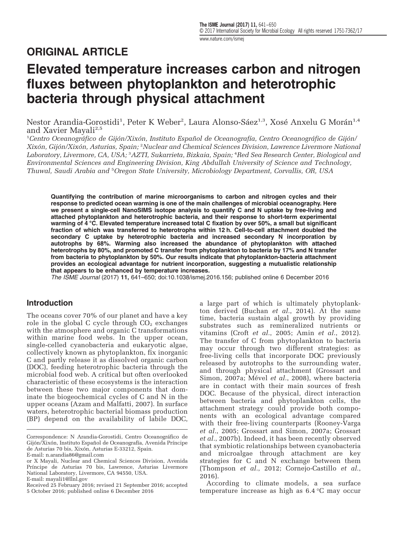## ORIGINAL ARTICLE

# Elevated temperature increases carbon and nitrogen fluxes between phytoplankton and heterotrophic bacteria through physical attachment

Nestor Arandia-Gorostidi<sup>1</sup>, Peter K Weber<sup>2</sup>, Laura Alonso-Sáez<sup>1,3</sup>, Xosé Anxelu G Morán<sup>1,4</sup> and Xavier Mayali<sup>2,5</sup>

1 Centro Oceanográfico de Gijón/Xixón, Instituto Español de Oceanografía, Centro Oceanográfico de Gijón/ Xixón, Gijón/Xixón, Asturias, Spain; <sup>2</sup> Nuclear and Chemical Sciences Division, Lawrence Livermore National Laboratory, Livermore, CA, USA; <sup>3</sup>AZTI, Sukarrieta, Bizkaia, Spain; <sup>4</sup>Red Sea Research Center, Biological and Environmental Sciences and Engineering Division, King Abdullah University of Science and Technology, Thuwal, Saudi Arabia and <sup>5</sup>Oregon State University, Microbiology Department, Corvallis, OR, USA

Quantifying the contribution of marine microorganisms to carbon and nitrogen cycles and their response to predicted ocean warming is one of the main challenges of microbial oceanography. Here we present a single-cell NanoSIMS isotope analysis to quantify C and N uptake by free-living and attached phytoplankton and heterotrophic bacteria, and their response to short-term experimental warming of 4 °C. Elevated temperature increased total C fixation by over 50%, a small but significant fraction of which was transferred to heterotrophs within 12 h. Cell-to-cell attachment doubled the secondary C uptake by heterotrophic bacteria and increased secondary N incorporation by autotrophs by 68%. Warming also increased the abundance of phytoplankton with attached heterotrophs by 80%, and promoted C transfer from phytoplankton to bacteria by 17% and N transfer from bacteria to phytoplankton by 50%. Our results indicate that phytoplankton-bacteria attachment provides an ecological advantage for nutrient incorporation, suggesting a mutualistic relationship that appears to be enhanced by temperature increases.

The ISME Journal (2017) 11, 641–650; doi[:10.1038/ismej.2016.156;](http://dx.doi.org/10.1038/ismej.2016.156) published online 6 December 2016

#### Introduction

The oceans cover 70% of our planet and have a key role in the global C cycle through  $CO<sub>2</sub>$  exchanges with the atmosphere and organic C transformations within marine food webs. In the upper ocean, single-celled cyanobacteria and eukaryotic algae, collectively known as phytoplankton, fix inorganic C and partly release it as dissolved organic carbon (DOC), feeding heterotrophic bacteria through the microbial food web. A critical but often overlooked characteristic of these ecosystems is the interaction between these two major components that dominate the biogeochemical cycles of C and N in the upper oceans [\(Azam and Malfatti, 2007\)](#page-7-0). In surface waters, heterotrophic bacterial biomass production (BP) depend on the availability of labile DOC,

a large part of which is ultimately phytoplankton derived ([Buchan](#page-8-0) et al., 2014). At the same time, bacteria sustain algal growth by providing substrates such as remineralized nutrients or vitamins (Croft et al.[, 2005](#page-8-0); Amin et al.[, 2012\)](#page-7-0). The transfer of C from phytoplankton to bacteria may occur through two different strategies: as free-living cells that incorporate DOC previously released by autotrophs to the surrounding water, and through physical attachment ([Grossart and](#page-8-0) [Simon, 2007a;](#page-8-0) Mével et al.[, 2008\)](#page-8-0), where bacteria are in contact with their main sources of fresh DOC. Because of the physical, direct interaction between bacteria and phytoplankton cells, the attachment strategy could provide both components with an ecological advantage compared with their free-living counterparts ([Rooney-Varga](#page-9-0) et al.[, 2005;](#page-9-0) [Grossart and Simon, 2007a; Grossart](#page-8-0) et al.[, 2007b\)](#page-8-0). Indeed, it has been recently observed that symbiotic relationships between cyanobacteria and microalgae through attachment are key strategies for C and N exchange between them ([Thompson](#page-9-0) et al., 2012; [Cornejo-Castillo](#page-8-0) et al., [2016](#page-8-0)).

According to climate models, a sea surface temperature increase as high as 6.4 °C may occur

Correspondence: N Arandia-Gorostidi, Centro Oceanográfico de Gijón/Xixón, Instituto Español de Oceanografía, Avenida Príncipe de Asturias 70 bis, Xixón, Asturias E-33212, Spain.

E-mail: [n.arandia86@gmail.com](mailto:n.arandia86@gmail.com)

or X Mayali, Nuclear and Chemical Sciences Division, Avenida Príncipe de Asturias 70 bis, Lawrence, Asturias Livermore National Laboratory, Livermore, CA 94550, USA. E-mail: [mayali1@llnl.gov](mailto:mayali1@llnl.gov)

Received 25 February 2016; revised 21 September 2016; accepted 5 October 2016; published online 6 December 2016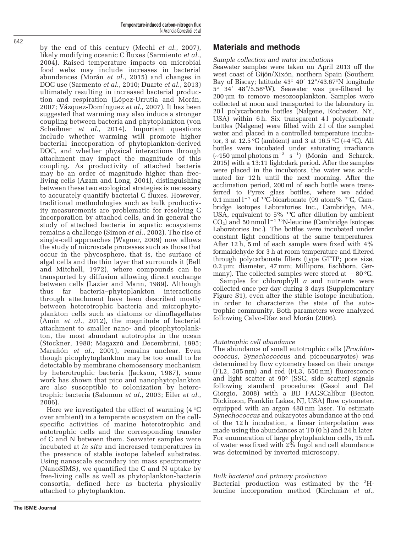The ISME Journal

by the end of this century (Meehl et al.[, 2007](#page-8-0)), likely modifying oceanic C fluxes ([Sarmiento](#page-9-0) et al., [2004](#page-9-0)). Raised temperature impacts on microbial food webs may include increases in bacterial abundances [\(Morán](#page-9-0) et al., 2015) and changes in DOC use ([Sarmento](#page-9-0) et al., 2010; [Duarte](#page-8-0) et al., 2013) ultimately resulting in increased bacterial production and respiration [\(López-Urrutia and Morán,](#page-8-0) [2007](#page-8-0); [Vázquez-Domínguez](#page-9-0) et al., 2007). It has been suggested that warming may also induce a stronger coupling between bacteria and phytoplankton [\(von](#page-9-0) [Scheibner](#page-9-0) *et al.*, 2014). Important questions include whether warming will promote higher bacterial incorporation of phytoplankton-derived DOC, and whether physical interactions through attachment may impact the magnitude of this coupling. As productivity of attached bacteria may be an order of magnitude higher than freeliving cells [\(Azam and Long, 2001\)](#page-7-0), distinguishing between these two ecological strategies is necessary to accurately quantify bacterial C fluxes. However, traditional methodologies such as bulk productivity measurements are problematic for resolving C incorporation by attached cells, and in general the study of attached bacteria in aquatic ecosystems remains a challenge [\(Simon](#page-9-0) et al., 2002). The rise of single-cell approaches ([Wagner, 2009\)](#page-9-0) now allows the study of microscale processes such as those that occur in the phycosphere, that is, the surface of algal cells and the thin layer that surrounds it ([Bell](#page-8-0) [and Mitchell, 1972](#page-8-0)), where compounds can be transported by diffusion allowing direct exchange between cells ([Lazier and Mann, 1989](#page-8-0)). Although thus far bacteria–phytoplankton interactions through attachment have been described mostly between heterotrophic bacteria and microphytoplankton cells such as diatoms or dinoflagellates (Amin et al.[, 2012\)](#page-7-0), the magnitude of bacterial attachment to smaller nano- and picophytoplankton, the most abundant autotrophs in the ocean ([Stockner, 1988;](#page-9-0) [Magazzù and Decembrini, 1995;](#page-8-0) [Marañón](#page-8-0) et al., 2001), remains unclear. Even though picophytoplankton may be too small to be detectable by membrane chemosensory mechanism by heterotrophic bacteria ([Jackson, 1987\)](#page-8-0), some work has shown that pico and nanophytoplankton are also susceptible to colonization by heterotrophic bacteria [\(Salomon](#page-9-0) et al., 2003; Eiler [et al.](#page-8-0), [2006](#page-8-0)).

Here we investigated the effect of warming  $(4 \degree C)$ over ambient) in a temperate ecosystem on the cellspecific activities of marine heterotrophic and autotrophic cells and the corresponding transfer of C and N between them. Seawater samples were incubated at in situ and increased temperatures in the presence of stable isotope labeled substrates. Using nanoscale secondary ion mass spectrometry (NanoSIMS), we quantified the C and N uptake by free-living cells as well as phytoplankton-bacteria consortia, defined here as bacteria physically attached to phytoplankton.

## Materials and methods

#### Sample collection and water incubations

Seawater samples were taken on April 2013 off the west coast of Gijón/Xixón, northern Spain (Southern Bay of Biscay; latitude 43° 40′ 12″/43.67°N longitude 5° 34′ 48″/5.58°W). Seawater was pre-filtered by 200 μm to remove mesozooplankton. Samples were collected at noon and transported to the laboratory in 20 l polycarbonate bottles (Nalgene, Rochester, NY, USA) within 6 h. Six transparent 4 l polycarbonate bottles (Nalgene) were filled with 2 l of the sampled water and placed in a controlled temperature incubator, 3 at 12.5 °C (ambient) and 3 at 16.5 °C (+4 °C). All bottles were incubated under saturating irradiance (~150 μmol photons m<sup>−</sup><sup>2</sup> s <sup>−</sup><sup>1</sup> ) ([Morán and Scharek,](#page-9-0) [2015\)](#page-9-0) with a 13:11 light:dark period. After the samples were placed in the incubators, the water was acclimated for 12 h until the next morning. After the acclimation period, 200 ml of each bottle were transferred to Pyrex glass bottles, where we added 0.1 mmol l<sup>−</sup><sup>1</sup> of 13C-bicarbonate (99 atom% 13C, Cambridge Isotopes Laboratories Inc., Cambridge, MA, USA, equivalent to 5% 13C after dilution by ambient  $CO<sub>2</sub>$ ) and 50 nmol l<sup>-1 15</sup>N-leucine (Cambridge Isotopes Laboratories Inc.). The bottles were incubated under constant light conditions at the same temperatures. After 12 h, 5 ml of each sample were fixed with 4% formaldehyde for 3 h at room temperature and filtered through polycarbonate filters (type GTTP; pore size, 0.2 μm; diameter, 47 mm; Millipore, Eschborn, Germany). The collected samples were stored at  $-80$  °C.

Samples for chlorophyll  $\alpha$  and nutrients were collected once per day during 3 days (Supplementary Figure S1), even after the stable isotope incubation, in order to characterize the state of the autotrophic community. Both parameters were analyzed following [Calvo-Díaz and Morán \(2006\).](#page-8-0)

#### Autotrophic cell abundance

The abundance of small autotrophic cells (Prochlorococcus, Synechococcus and picoeucaryotes) was determined by flow cytometry based on their orange (FL2, 585 nm) and red (FL3, 650 nm) fluorescence and light scatter at 90° (SSC, side scatter) signals following standard procedures ([Gasol and Del](#page-8-0) [Giorgio, 2008\)](#page-8-0) with a BD FACSCalibur (Becton Dickinson, Franklin Lakes, NJ, USA) flow cytometer, equipped with an argon 488 nm laser. To estimate Synechococcus and eukaryotes abundance at the end of the 12 h incubation, a linear interpolation was made using the abundances at T0 (0 h) and 24 h later. For enumeration of large phytoplankton cells, 15 mL of water was fixed with 2% lugol and cell abundance was determined by inverted microscopy.

#### Bulk bacterial and primary production

Bacterial production was estimated by the <sup>3</sup>Hleucine incorporation method ([Kirchman](#page-8-0) et al.,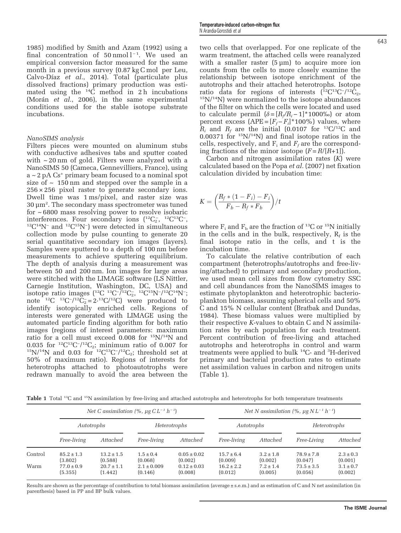<span id="page-2-0"></span>[1985\)](#page-8-0) modified by [Smith and Azam \(1992\)](#page-9-0) using a final concentration of  $50 \text{ nmol } l^{-1}$ . We used an empirical conversion factor measured for the same month in a previous survey (0.87 kg C mol per Leu, [Calvo-Díaz](#page-8-0) et al., 2014). Total (particulate plus dissolved fractions) primary production was estimated using the  $^{14}C$  method in 2 h incubations (Morán et al.[, 2006](#page-9-0)), in the same experimental conditions used for the stable isotope substrate incubations.

#### NanoSIMS analysis

Filters pieces were mounted on aluminum stubs with conductive adhesives tabs and sputter coated with  $\sim$  20 nm of gold. Filters were analyzed with a NanoSIMS 50 (Cameca, Gennevilliers, France), using  $a \sim 2$  pA  $Cs^+$  primary beam focused to a nominal spot size of  $\sim$  150 nm and stepped over the sample in a  $256 \times 256$  pixel raster to generate secondary ions. Dwell time was 1 ms/pixel, and raster size was 30 μm<sup>2</sup> . The secondary mass spectrometer was tuned for  $\sim 6800$  mass resolving power to resolve isobaric interferences. Four secondary ions  $(^{12}C_2, ^{12}C^{13}C^$ interferences. Four secondary ions  $(^{12}C_2, ^{12}C^{13}C^-$ ,  $(^{12}C^{14}N^-$  and  $^{12}C^{15}N^-$ ) were detected in simultaneous collection mode by pulse counting to generate 20 serial quantitative secondary ion images (layers). Samples were sputtered to a depth of 100 nm before measurements to achieve sputtering equilibrium. The depth of analysis during a measurement was between 50 and 200 nm. Ion images for large areas were stitched with the LIMAGE software (LS Nittler, Carnegie Institution, Washington, DC, USA) and isotope ratio images ( ${}^{12}C$   ${}^{13}C$ - $\bar{/}{}^{12}C_2$ ,  ${}^{12}C$  ${}^{15}N$ - $\bar{/}{}^{12}C$  ${}^{14}N$ -; note<sup>-12</sup>C <sup>13</sup>C<sup>-</sup>/<sup>12</sup>C<sub>2</sub><sup>=</sup> = 2<sup>,13</sup>C/<sup>12</sup>C) were produced to identify isotopically enriched cells. Regions of interests were generated with LIMAGE using the automated particle finding algorithm for both ratio images (regions of interest parameters: maximum ratio for a cell must exceed  $0.008$  for  $15N/14N$  and 0.035 for <sup>12</sup>C<sup>13</sup>C<sup>-</sup>/<sup>12</sup>C<sub>2</sub>; minimum ratio of 0.007 for <sup>15</sup>N/<sup>14</sup>N and 0.03 for <sup>12</sup>C<sup>13</sup>C<sup>-/12</sup>C<sub>2</sub>; threshold set at  $15N/14N$  and 0.03 for  $12C13C^{-12}C_2$ ; threshold set at 50% of maximum ratio). Regions of interests for heterotrophs attached to photoautotrophs were redrawn manually to avoid the area between the two cells that overlapped. For one replicate of the warm treatment, the attached cells were reanalyzed with a smaller raster  $(5 \mu m)$  to acquire more ion counts from the cells to more closely examine the relationship between isotope enrichment of the autotrophs and their attached heterotrophs. Isotope ratio data for regions of interests (<sup>12</sup>C<sup>13</sup>C<sup>-</sup>/<sup>12</sup>C<sub>2</sub>, <sup>15</sup>N/<sup>14</sup>N) were normalized to the isotope abundances of the filter on which the cells were located and used to calculate permil  $(\delta = [R_f/R_i - 1]^*1000\%)$  or atom percent excess  $(APE = [F_f - F_i]^*100\%)$  values, where  $R_i$  and  $R_f$  are the initial (0.0107 for <sup>13</sup>C/<sup>12</sup>C and 0.00371 for  $15N/14N$  and final isotope ratios in the cells, respectively, and  $F_i$  and  $F_f$  are the corresponding fractions of the minor isotope  $(F = R/[R+1])$ .

Carbon and nitrogen assimilation rates  $(K)$  were calculated based on the Popa et al. [\(2007\)](#page-9-0) net fixation calculation divided by incubation time:

$$
K = \left(\frac{R_f * (1 - F_i) - F_i}{F_b - R_f * F_b}\right) / t
$$

where  $F_i$  and  $F_b$  are the fraction of <sup>13</sup>C or <sup>15</sup>N initially in the cells and in the bulk, respectively,  $R_f$  is the final isotope ratio in the cells, and t is the incubation time.

To calculate the relative contribution of each compartment (heterotrophs/autotrophs and free-living/attached) to primary and secondary production, we used mean cell sizes from flow cytometry SSC and cell abundances from the NanoSIMS images to estimate phytoplankton and heterotrophic bacterioplankton biomass, assuming spherical cells and 50% C and 15% N cellular content [\(Bratbak and Dundas,](#page-8-0) [1984\)](#page-8-0). These biomass values were multiplied by their respective K-values to obtain C and N assimilation rates by each population for each treatment. Percent contribution of free-living and attached autotrophs and heterotrophs in control and warm treatments were applied to bulk 14C- and <sup>3</sup> H-derived primary and bacterial production rates to estimate net assimilation values in carbon and nitrogen units (Table 1).

Table 1 Total <sup>13</sup>C and <sup>15</sup>N assimilation by free-living and attached autotrophs and heterotrophs for both temperature treatments

|         | Net C assimilation $(\%$ , $\mu$ g C L <sup>-1</sup> h <sup>-1</sup> ) |                           |                            |                            | Net N assimilation $(\%$ , $\mu$ g N L <sup>-1</sup> h <sup>-1</sup> ) |                          |                           |                          |
|---------|------------------------------------------------------------------------|---------------------------|----------------------------|----------------------------|------------------------------------------------------------------------|--------------------------|---------------------------|--------------------------|
|         | Autotrophs                                                             |                           | Heterotrophs               |                            | Autotrophs                                                             |                          | Heterotrophs              |                          |
|         | <i>Free-living</i>                                                     | Attached                  | <i>Free-living</i>         | Attached                   | <i>Free-living</i>                                                     | Attached                 | <i>Free-Living</i>        | Attached                 |
| Control | $85.2 \pm 1.3$<br>(3.802)                                              | $13.2 \pm 1.5$<br>(0.588) | $1.5 \pm 0.4$<br>(0.068)   | $0.05 \pm 0.02$<br>(0.002) | $15.7 \pm 6.4$<br>(0.009)                                              | $3.2 \pm 1.8$<br>(0.002) | $78.9 \pm 7.8$<br>(0.047) | $2.3 \pm 0.3$<br>(0.001) |
| Warm    | $77.0 \pm 0.9$<br>(5.355)                                              | $20.7 \pm 1.1$<br>(1.442) | $2.1 \pm 0.009$<br>(0.146) | $0.12 \pm 0.03$<br>(0.008) | $16.2 \pm 2.2$<br>(0.012)                                              | $7.2 \pm 1.4$<br>(0.005) | $73.5 \pm 3.5$<br>(0.056) | $3.1 \pm 0.7$<br>(0.002) |

Results are shown as the percentage of contribution to total biomass assimilation (average ± s.e.m.) and as estimation of C and N net assimilation (in parenthesis) based in PP and BP bulk values.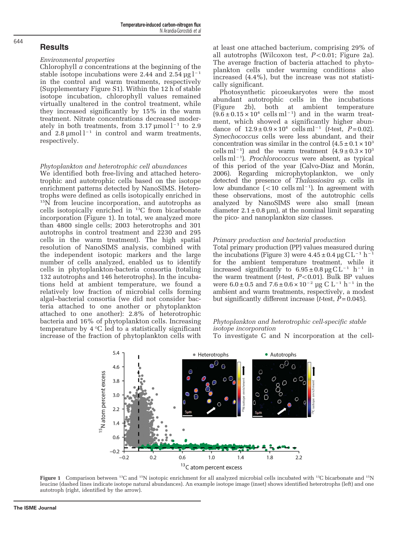#### **Results**

644

#### Environmental properties

Chlorophyll  $\alpha$  concentrations at the beginning of the stable isotope incubations were 2.44 and  $2.54 \text{ µg}$  $1^{-1}$ in the control and warm treatments, respectively (Supplementary Figure S1). Within the 12 h of stable isotope incubation, chlorophyll values remained virtually unaltered in the control treatment, while they increased significantly by 15% in the warm treatment. Nitrate concentrations decreased moderately in both treatments, from  $3.17 \mu$ mol l<sup>-1</sup> to 2.9 and  $2.8 \text{ und }$  l<sup>-1</sup> in control and warm treatments, respectively.

#### Phytoplankton and heterotrophic cell abundances

We identified both free-living and attached heterotrophic and autotrophic cells based on the isotope enrichment patterns detected by NanoSIMS. Heterotrophs were defined as cells isotopically enriched in <sup>15</sup>N from leucine incorporation, and autotrophs as cells isotopically enriched in <sup>13</sup>C from bicarbonate incorporation (Figure 1). In total, we analyzed more than 4800 single cells; 2003 heterotrophs and 301 autotrophs in control treatment and 2230 and 295 cells in the warm treatment). The high spatial resolution of NanoSIMS analysis, combined with the independent isotopic markers and the large number of cells analyzed, enabled us to identify cells in phytoplankton-bacteria consortia (totaling 132 autotrophs and 146 heterotrophs). In the incubations held at ambient temperature, we found a relatively low fraction of microbial cells forming algal–bacterial consortia (we did not consider bacteria attached to one another or phytoplankton attached to one another): 2.8% of heterotrophic bacteria and 16% of phytoplankton cells. Increasing temperature by  $4 \,^{\circ}\text{C}$  led to a statistically significant increase of the fraction of phytoplankton cells with

at least one attached bacterium, comprising 29% of all autotrophs (Wilcoxon test,  $P < 0.01$ ; [Figure 2a\)](#page-4-0). The average fraction of bacteria attached to phytoplankton cells under warming conditions also increased (4.4%), but the increase was not statistically significant.

Photosynthetic picoeukaryotes were the most abundant autotrophic cells in the incubations ([Figure 2b\)](#page-4-0), both at ambient temperature  $(9.6 \pm 0.15 \times 10^4 \text{ cells m}^{-1})$  and in the warm treatment, which showed a significantly higher abundance of  $12.9 \pm 0.9 \times 10^4$  cells ml<sup>-1</sup> (t-test, P = 0.02). Synechococcus cells were less abundant, and their concentration was similar in the control  $(4.5 \pm 0.1 \times 10^3)$ cells ml<sup>-1</sup>) and the warm treatment  $(4.9 \pm 0.3 \times 10^3$ cells ml<sup>-1</sup>). Prochlorococcus were absent, as typical of this period of the year [\(Calvo-Díaz and Morán,](#page-8-0) [2006\)](#page-8-0). Regarding microphytoplankton, we only detected the presence of Thalassiosira sp. cells in low abundance  $(<10$  cells ml<sup>-1</sup>). In agreement with these observations, most of the autotrophic cells analyzed by NanoSIMS were also small (mean diameter  $2.1 \pm 0.8$  μm), at the nominal limit separating the pico- and nanoplankton size classes.

#### Primary production and bacterial production

Total primary production (PP) values measured during the incubations ([Figure 3\)](#page-4-0) were  $4.45 \pm 0.4$  µg CL<sup>-1</sup> h<sup>-1</sup> for the ambient temperature treatment, while it increased significantly to  $6.95 \pm 0.8 \,\text{µg} \,\text{C} \,\text{L}^{-1} \,\text{h}^{-1}$  in the warm treatment (*t*-test,  $P < 0.01$ ). Bulk BP values were  $6.0 \pm 0.5$  and  $7.6 \pm 0.6 \times 10^{-2}$  µg C L<sup>-1</sup> h<sup>-1</sup> in the ambient and warm treatments, respectively, a modest but significantly different increase  $\bar{t}$ -test,  $\bar{P}$  = 0.045).

#### Phytoplankton and heterotrophic cell-specific stable isotope incorporation

To investigate C and N incorporation at the cell-



Figure 1 Comparison between <sup>13</sup>C and <sup>15</sup>N isotopic enrichment for all analyzed microbial cells incubated with <sup>13</sup>C bicarbonate and <sup>15</sup>N leucine (dashed lines indicate isotope natural abundances). An example isotope image (inset) shows identified heterotrophs (left) and one autotroph (right, identified by the arrow).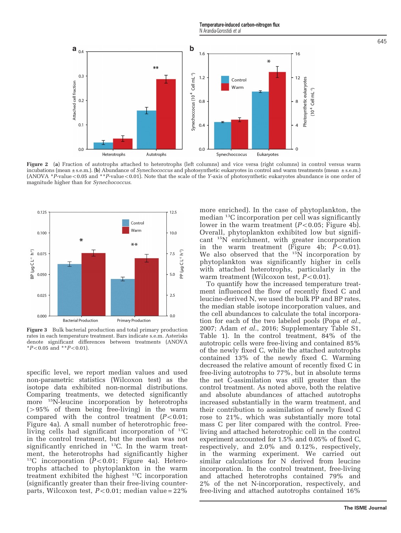Temperature-induced carbon–nitrogen flux N Arandia-Gorostidi et al

<span id="page-4-0"></span>

**Figure 2** (a) Fraction of autotrophs attached to heterotrophs (left columns) and vice versa (right columns) in control versus warm incubations (mean  $\pm$  s.e.m.) (b) Abundance of *Synechococcus* and photosynthetic eukary incubations (mean ±s.e.m.). **(b)** Abundance of *Synechococcus* and photosynthetic eukaryotes in control and warm treatments (mean ±s.e.m.)<br>(ANOVA \*P-value<0.05 and \*\*P-value<0.01). Note that the scale of the Y-axis of phot magnitude higher than for Synechococcus.



Figure 3 Bulk bacterial production and total primary production rates in each temperature treatment. Bars indicate s.e.m. Asterisks denote significant differences between treatments (ANOVA \* $P<0.05$  and \*\* $P<0.01$ ).

specific level, we report median values and used non-parametric statistics (Wilcoxon test) as the isotope data exhibited non-normal distributions. Comparing treatments, we detected significantly more <sup>15</sup>N-leucine incorporation by heterotrophs  $(>95\%$  of them being free-living) in the warm compared with the control treatment  $(P<0.01;$ [Figure 4a\)](#page-5-0). A small number of heterotrophic freeliving cells had significant incorporation of  $^{13}C$ in the control treatment, but the median was not significantly enriched in  $13C$ . In the warm treatment, the heterotrophs had significantly higher <sup>13</sup>C incorporation ( $P < 0.01$ ; [Figure 4a\)](#page-5-0). Heterotrophs attached to phytoplankton in the warm treatment exhibited the highest 13C incorporation (significantly greater than their free-living counterparts, Wilcoxon test,  $P < 0.01$ ; median value = 22%

more enriched). In the case of phytoplankton, the median 13C incorporation per cell was significantly lower in the warm treatment  $(P<0.05;$  [Figure 4b\)](#page-5-0). Overall, phytoplankton exhibited low but significant 15N enrichment, with greater incorporation in the warm treatment ([Figure 4b;](#page-5-0)  $P < 0.01$ ). We also observed that the  $15N$  incorporation by phytoplankton was significantly higher in cells with attached heterotrophs, particularly in the warm treatment (Wilcoxon test,  $P < 0.01$ ).

To quantify how the increased temperature treatment influenced the flow of recently fixed C and leucine-derived N, we used the bulk PP and BP rates, the median stable isotope incorporation values, and the cell abundances to calculate the total incorporation for each of the two labeled pools (Popa *[et al.](#page-9-0)*, [2007;](#page-9-0) Adam et al.[, 2016;](#page-7-0) Supplementary Table S1, [Table 1\)](#page-2-0). In the control treatment, 84% of the autotropic cells were free-living and contained 85% of the newly fixed C, while the attached autotrophs contained 13% of the newly fixed C. Warming decreased the relative amount of recently fixed C in free-living autotrophs to 77%, but in absolute terms the net C-assimilation was still greater than the control treatment. As noted above, both the relative and absolute abundances of attached autotrophs increased substantially in the warm treatment, and their contribution to assimilation of newly fixed C rose to 21%, which was substantially more total mass C per liter compared with the control. Freeliving and attached heterotrophic cell in the control experiment accounted for 1.5% and 0.05% of fixed C, respectively, and 2.0% and 0.12%, respectively, in the warming experiment. We carried out similar calculations for N derived from leucine incorporation. In the control treatment, free-living and attached heterotrophs contained 79% and 2% of the net N-incorporation, respectively, and free-living and attached autotrophs contained 16%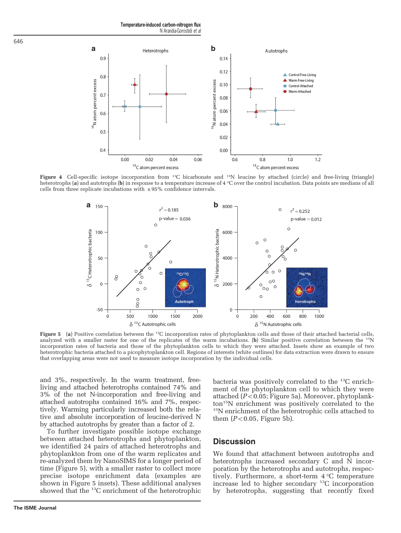Temperature-induced carbon–nitrogen flux N Arandia-Gorostidi et al



Figure 4 Cell-specific isotope incorporation from <sup>13</sup>C bicarbonate and <sup>15</sup>N leucine by attached (circle) and free-living (triangle) heterotrophs (a) and autotrophs (b) in response to a temperature increase of 4 °C over the control incubation. Data points are medians of all cells from three replicate incubations with  $\pm$  95% confidence intervals.



Figure 5 (a) Positive correlation between the <sup>13</sup>C incorporation rates of phytoplankton cells and those of their attached bacterial cells, analyzed with a smaller raster for one of the replicates of the warm incubations. (b) Similar positive correlation between the 15N incorporation rates of bacteria and those of the phytoplankton cells to which they were attached. Insets show an example of two heterotrophic bacteria attached to a picophytoplankton cell. Regions of interests (white outlines) for data extraction were drawn to ensure that overlapping areas were not used to measure isotope incorporation by the individual cells.

and 3%, respectively. In the warm treatment, freeliving and attached heterotrophs contained 74% and 3% of the net N-incorporation and free-living and attached autotrophs contained 16% and 7%, respectively. Warming particularly increased both the relative and absolute incorporation of leucine-derived N by attached autotrophs by greater than a factor of 2.

To further investigate possible isotope exchange between attached heterotrophs and phytoplankton, we identified 24 pairs of attached heterotrophs and phytoplankton from one of the warm replicates and re-analyzed them by NanoSIMS for a longer period of time (Figure 5), with a smaller raster to collect more precise isotope enrichment data (examples are shown in Figure 5 insets). These additional analyses showed that the 13C enrichment of the heterotrophic

bacteria was positively correlated to the 13C enrichment of the phytoplankton cell to which they were attached ( $P$ <0.05; Figure 5a). Moreover, phytoplankton15N enrichment was positively correlated to the 15N enrichment of the heterotrophic cells attached to them  $(P<0.05$ , Figure 5b).

#### **Discussion**

We found that attachment between autotrophs and heterotrophs increased secondary C and N incorporation by the heterotrophs and autotrophs, respectively. Furthermore, a short-term 4 °C temperature increase led to higher secondary  $^{13}$ C incorporation by heterotrophs, suggesting that recently fixed

<span id="page-5-0"></span>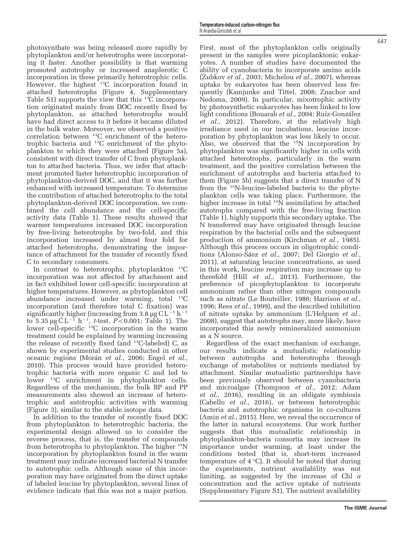photosynthate was being released more rapidly by phytoplankton and/or heterotrophs were incorporating it faster. Another possibility is that warming promoted autotrophy or increased anaplerotic C incorporation in these primarily heterotrophic cells. However, the highest <sup>13</sup>C incorporation found in attached heterotrophs [\(Figure 4](#page-5-0), Supplementary Table S1) supports the view that this  $^{13}C$  incorporation originated mainly from DOC recently fixed by phytoplankton, as attached heterotrophs would have had direct access to it before it became diluted in the bulk water. Moreover, we observed a positive correlation between 13C enrichment of the heterotrophic bacteria and 13C enrichment of the phytoplankton to which they were attached ([Figure 5a\)](#page-5-0), consistent with direct transfer of C from phytoplankton to attached bacteria. Thus, we infer that attachment promoted faster heterotrophic incorporation of phytoplankton-derived DOC, and that it was further enhanced with increased temperature. To determine the contribution of attached heterotrophs to the total phytoplankton-derived DOC incorporation, we combined the cell abundance and the cell-specific activity data [\(Table 1](#page-2-0)). These results showed that warmer temperatures increased DOC incorporation by free-living heterotrophs by two-fold, and this incorporation increased by almost four fold for attached heterotrophs, demonstrating the importance of attachment for the transfer of recently fixed C to secondary consumers.

In contrast to heterotrophs, phytoplankton  $^{13}C$ incorporation was not affected by attachment and in fact exhibited lower cell-specific incorporation at higher temperatures. However, as phytoplankton cell abundance increased under warming, total  $^{13}C$ incorporation (and therefore total C fixation) was significantly higher (increasing from 3.8 µg  $CL^{-1} h^{-1}$ to 5.35 μg C<sup>L-1</sup> h<sup>-1</sup>, *t*-test, *P*<0.001; [Table 1\)](#page-2-0). The lower cell-specific <sup>13</sup>C incorporation in the warm treatment could be explained by warming increasing the release of recently fixed (and  $^{13}$ C-labeled) C, as shown by experimental studies conducted in other oceanic regions (Morán et al.[, 2006](#page-9-0); [Engel](#page-8-0) et al., [2010\)](#page-8-0). This process would have provided heterotrophic bacteria with more organic C and led to lower 13C enrichment in phytoplankton cells. Regardless of the mechanism, the bulk BP and PP measurements also showed an increase of heterotrophic and autotrophic activities with warming ([Figure 3\)](#page-4-0), similar to the stable isotope data.

In addition to the transfer of recently fixed DOC from phytoplankton to heterotrophic bacteria, the experimental design allowed us to consider the reverse process, that is, the transfer of compounds from heterotrophs to phytoplankton. The higher 15N incorporation by phytoplankton found in the warm treatment may indicate increased bacterial N transfer to autotrophic cells. Although some of this incorporation may have originated from the direct uptake of labeled leucine by phytoplankton, several lines of evidence indicate that this was not a major portion.

First, most of the phytoplankton cells originally present in the samples were picoplanktonic eukaryotes. A number of studies have documented the ability of cyanobacteria to incorporate amino acids ([Zubkov](#page-9-0) et al., 2003; [Michelou](#page-8-0) et al., 2007), whereas uptake by eukaryotes has been observed less frequently ([Kamjunke and Tittel, 2008;](#page-8-0) [Znachor and](#page-9-0) [Nedoma, 2009](#page-9-0)). In particular, mixotrophic activity by photosynthetic eukaryotes has been linked to low light conditions [\(Bouarab](#page-8-0) et al., 2004; [Ruiz-González](#page-9-0) et al.[, 2012](#page-9-0)). Therefore, at the relatively high irradiance used in our incubations, leucine incorporation by phytoplankton was less likely to occur. Also, we observed that the 15N incorporation by phytoplankton was significantly higher in cells with attached heterotrophs, particularly in the warm treatment, and the positive correlation between the enrichment of autotrophs and bacteria attached to them ([Figure 5b](#page-5-0)) suggests that a direct transfer of N from the 15N-leucine-labeled bacteria to the phytoplankton cells was taking place. Furthermore, the higher increase in total  $15\overline{\rm N}$  assimilation by attached autotrophs compared with the free-living fraction ([Table 1](#page-2-0)), highly supports this secondary uptake. The N transferred may have originated through leucine respiration by the bacterial cells and the subsequent production of ammonium ([Kirchman](#page-8-0) et al., 1985). Although this process occurs in oligotrophic conditions [\(Alonso-Sáez](#page-7-0) et al., 2007; [Del Giorgio](#page-8-0) et al., [2011\)](#page-8-0), at saturating leucine concentrations, as used in this work, leucine respiration may increase up to threefold (Hill et al.[, 2013](#page-8-0)). Furthermore, the preference of picophytoplankton to incorporate ammonium rather than other nitrogen compounds such as nitrate ([Le Bouteiller, 1986; Harrison](#page-8-0) et al., [1996;](#page-8-0) Rees et al.[, 1999](#page-9-0)), and the described inhibition of nitrate uptake by ammonium (L'[Helguen](#page-8-0) et al., [2008\)](#page-8-0), suggest that autotrophs may, more likely, have incorporated this newly remineralized ammonium as a N source.

Regardless of the exact mechanism of exchange, our results indicate a mutualistic relationship between autotrophs and heterotrophs through exchange of metabolites or nutrients mediated by attachment. Similar mutualistic partnerships have been previously observed between cyanobacteria and microalgae ([Thompson](#page-9-0) et al., 2012; [Adam](#page-7-0) et al.[, 2016\)](#page-7-0), resulting in an obligate symbiosis ([Cabello](#page-8-0) et al., 2016), or between heterotrophic bacteria and autotrophic organisms in co-cultures (Amin et al.[, 2015](#page-7-0)). Here, we reveal the occurrence of the latter in natural ecosystems. Our work further suggests that this mutualistic relationship in phytoplankton-bacteria consortia may increase its importance under warming, at least under the conditions tested (that is, short-term increased temperature of  $4^{\circ}C$ . It should be noted that during the experiments, nutrient availability was not limiting, as suggested by the increase of Chl  $\alpha$ concentration and the active uptake of nutrients (Supplementary Figure S1). The nutrient availability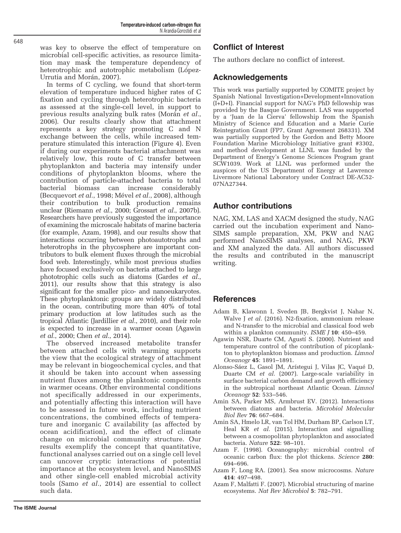<span id="page-7-0"></span>was key to observe the effect of temperature on microbial cell-specific activities, as resource limitation may mask the temperature dependency of heterotrophic and autotrophic metabolism ([López-](#page-8-0)[Urrutia and Morán, 2007\)](#page-8-0).

In terms of C cycling, we found that short-term elevation of temperature induced higher rates of C fixation and cycling through heterotrophic bacteria as assessed at the single-cell level, in support to previous results analyzing bulk rates [\(Morán](#page-9-0) et al., [2006\)](#page-9-0). Our results clearly show that attachment represents a key strategy promoting C and N exchange between the cells, while increased temperature stimulated this interaction ([Figure 4\)](#page-5-0). Even if during our experiments bacterial attachment was relatively low, this route of C transfer between phytoplankton and bacteria may intensify under conditions of phytoplankton blooms, where the contribution of particle-attached bacteria to total bacterial biomass can increase considerably ([Becquevort](#page-8-0) et al., 1998; [Mével](#page-8-0) et al., 2008), although their contribution to bulk production remains unclear [\(Riemann](#page-9-0) et al., 2000; [Grossart](#page-8-0) et al., 2007b). Researchers have previously suggested the importance of examining the microscale habitats of marine bacteria (for example, Azam, 1998), and our results show that interactions occurring between photoautotrophs and heterotrophs in the phycosphere are important contributors to bulk element fluxes through the microbial food web. Interestingly, while most previous studies have focused exclusively on bacteria attached to large phototrophic cells such as diatoms ([Gardes](#page-8-0) et al., [2011\)](#page-8-0), our results show that this strategy is also significant for the smaller pico- and nanoeukaryotes. These phytoplanktonic groups are widely distributed in the ocean, contributing more than 40% of total primary production at low latitudes such as the tropical Atlantic [\(Jardillier](#page-8-0) et al., 2010), and their role is expected to increase in a warmer ocean (Agawin et al., 2000; Chen et al.[, 2014](#page-8-0)).

The observed increased metabolite transfer between attached cells with warming supports the view that the ecological strategy of attachment may be relevant in biogeochemical cycles, and that it should be taken into account when assessing nutrient fluxes among the planktonic components in warmer oceans. Other environmental conditions not specifically addressed in our experiments, and potentially affecting this interaction will have to be assessed in future work, including nutrient concentrations, the combined effects of temperature and inorganic C availability (as affected by ocean acidification), and the effect of climate change on microbial community structure. Our results exemplify the concept that quantitative, functional analyses carried out on a single cell level can uncover cryptic interactions of potential importance at the ecosystem level, and NanoSIMS and other single-cell enabled microbial activity tools (Samo et al.[, 2014\)](#page-9-0) are essential to collect such data.

## Conflict of Interest

The authors declare no conflict of interest.

## Acknowledgements

This work was partially supported by COMITE project by Spanish National Investigation+Development+Innovation (I+D+I). Financial support for NAG's PhD fellowship was provided by the Basque Government. LAS was supported by a 'Juan de la Cierva' fellowship from the Spanish Ministry of Science and Education and a Marie Curie Reintegration Grant (FP7, Grant Agreement 268331). XM was partially supported by the Gordon and Betty Moore Foundation Marine Microbiology Initiative grant #3302, and method development at LLNL was funded by the Department of Energy's Genome Sciences Program grant SCW1039. Work at LLNL was performed under the auspices of the US Department of Energy at Lawrence Livermore National Laboratory under Contract DE-AC52- 07NA27344.

### Author contributions

NAG, XM, LAS and XACM designed the study, NAG carried out the incubation experiment and Nano-SIMS sample preparation, XM, PKW and NAG performed NanoSIMS analyses, and NAG, PKW and XM analyzed the data. All authors discussed the results and contributed in the manuscript writing.

## References

- Adam B, Klawonn I, Sveden JB, Bergkvist J, Nahar N, Walve J et al. (2016). N2-fixation, ammonium release and N-transfer to the microbial and classical food web within a plankton community. *ISME [* **10**: 450–459.
- Agawin NSR, Duarte CM, Agustí S. (2000). Nutrient and temperature control of the contribution of picoplankton to phytoplankton biomass and production. Limnol Oceanogr 45: 1891–1891.
- Alonso-Sáez L, Gasol JM, Arístegui J, Vilas JC, Vaqué D, Duarte CM et al. (2007). Large-scale variability in surface bacterial carbon demand and growth efficiency in the subtropical northeast Atlantic Ocean. Limnol Oceanogr 52: 533–546.
- Amin SA, Parker MS, Armbrust EV. (2012). Interactions between diatoms and bacteria. Microbiol Molecular Biol Rev 76: 667–684.
- Amin SA, Hmelo LR, van Tol HM, Durham BP, Carlson LT, Heal KR et al. (2015). Interaction and signalling between a cosmopolitan phytoplankton and associated bacteria. Nature 522: 98–101.
- Azam F. (1998). Oceanography: microbial control of oceanic carbon flux: the plot thickens. Science 280: 694–696.
- Azam F, Long RA. (2001). Sea snow microcosms. Nature 414: 497–498.
- Azam F, Malfatti F. (2007). Microbial structuring of marine ecosystems. Nat Rev Microbiol 5: 782–791.

The ISME Journal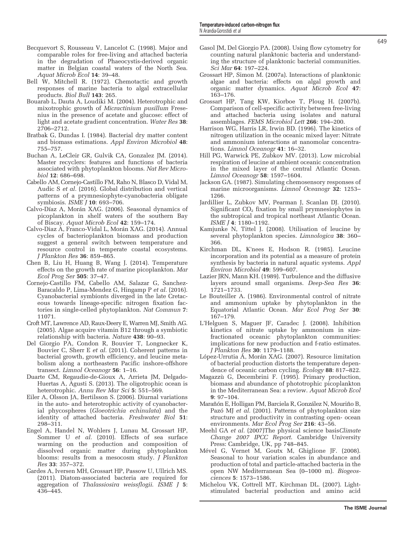- <span id="page-8-0"></span>Becquevort S, Rousseau V, Lancelot C. (1998). Major and comparable roles for free-living and attached bacteria in the degradation of Phaeocystis-derived organic matter in Belgian coastal waters of the North Sea. Aquat Microb Ecol 14: 39–48.
- Bell W, Mitchell R. (1972). Chemotactic and growth responses of marine bacteria to algal extracellular products. Biol Bull 143: 265.
- Bouarab L, Dauta A, Loudiki M. (2004). Heterotrophic and mixotrophic growth of Micractinium pusillum Fresenius in the presence of acetate and glucose: effect of light and acetate gradient concentration. Water Res 38: 2706–2712.
- Bratbak G, Dundas I. (1984). Bacterial dry matter content and biomass estimations. Appl Environ Microbiol 48: 755–757.
- Buchan A, LeCleir GR, Gulvik CA, Gonzalez JM. (2014). Master recyclers: features and functions of bacteria associated with phytoplankton blooms. Nat Rev Microbiol 12: 686–698.
- Cabello AM, Cornejo-Castillo FM, Raho N, Blasco D, Vidal M, Audic S et al. (2016). Global distribution and vertical patterns of a prymnesiophyte-cyanobacteria obligate symbiosis. ISME J 10: 693–706.
- Calvo-Díaz A, Morán XAG. (2006). Seasonal dynamics of picoplankton in shelf waters of the southern Bay of Biscay. Aquat Microb Ecol 42: 159–174.
- Calvo-Diaz A, Franco-Vidal L, Morán XAG. (2014). Annual cycles of bacterioplankton biomass and production suggest a general switch between temperature and resource control in temperate coastal ecosystems. J Plankton Res 36: 859–865.
- Chen B, Liu H, Huang B, Wang J. (2014). Temperature effects on the growth rate of marine picoplankton. Mar Ecol Prog Ser 505: 37–47.
- Cornejo-Castillo FM, Cabello AM, Salazar G, Sanchez-Baracaldo P, Lima-Mendez G, Hingamp P et al. (2016). Cyanobacterial symbionts diverged in the late Cretaceous towards lineage-specific nitrogen fixation factories in single-celled phytoplankton. Nat Commun 7: 11071.
- Croft MT, Lawrence AD, Raux-Deery E, Warren MJ, Smith AG. (2005). Algae acquire vitamin B12 through a symbiotic relationship with bacteria. Nature 438: 90–93.
- Del Giorgio PA, Condon R, Bouvier T, Longnecker K, Bouvier C, Sherr E et al. (2011). Coherent patterns in bacterial growth, growth efficiency, and leucine metabolism along a northeastern Pacific inshore-offshore transect. Limnol Oceanogr 56: 1–16.
- Duarte CM, Regaudie-de-Gioux A, Arrieta JM, Delgado-Huertas A, Agusti S. (2013). The oligotrophic ocean is heterotrophic. Annu Rev Mar Sci 5: 551–569.
- Eiler A, Olsson JA, Bertilsson S. (2006). Diurnal variations in the auto- and heterotrophic activity of cyanobacterial phycospheres (Gloeotrichia echinulata) and the identity of attached bacteria. Freshwater Biol 51: 298–311.
- Engel A, Handel N, Wohlers J, Lunau M, Grossart HP, Sommer U et al. (2010). Effects of sea surface warming on the production and composition of dissolved organic matter during phytoplankton blooms: results from a mesocosm study. J Plankton Res 33: 357–372.
- Gardes A, Iversen MH, Grossart HP, Passow U, Ullrich MS. (2011). Diatom-associated bacteria are required for aggregation of Thalassiosira weissflogii. ISME J 5: 436–445.
- Gasol JM, Del Giorgio PA. (2008). Using flow cytometry for counting natural planktonic bacteria and understanding the structure of planktonic bacterial communities. Sci Mar 64: 197–224.
- Grossart HP, Simon M. (2007a). Interactions of planktonic algae and bacteria: effects on algal growth and organic matter dynamics. Aquat Microb Ecol 47: 163–176.
- Grossart HP, Tang KW, Kiorboe T, Ploug H. (2007b). Comparison of cell-specific activity between free-living and attached bacteria using isolates and natural assemblages. FEMS Microbiol Lett 266: 194–200.
- Harrison WG, Harris LR, Irwin BD. (1996). The kinetics of nitrogen utilization in the oceanic mixed layer: Nitrate and ammonium interactions at nanomolar concentrations. Limnol Oceanogr 41: 16–32.
- Hill PG, Warwick PE, Zubkov MV. (2013). Low microbial respiration of leucine at ambient oceanic concentration in the mixed layer of the central Atlantic Ocean. Limnol Oceanogr 58: 1597–1604.
- Jackson GA. (1987). Simulating chemosensory responses of marine microorganisms. Limnol Oceanogr 32: 1253– 1266.
- Jardillier L, Zubkov MV, Pearman J, Scanlan DJ. (2010). Significant  $CO<sub>2</sub>$  fixation by small prymnesiophytes in the subtropical and tropical northeast Atlantic Ocean. ISME J 4: 1180–1192.
- Kamjunke N, Tittel J. (2008). Utilisation of leucine by several phytoplankton species. Limnologica 38: 360– 366.
- Kirchman DL, K'nees E, Hodson R. (1985). Leucine incorporation and its potential as a measure of protein synthesis by bacteria in natural aquatic systems. Appl Environ Microbiol 49: 599–607.
- Lazier JRN, Mann KH. (1989). Turbulence and the diffusive layers around small organisms. Deep-Sea Res 36: 1721–1733.
- Le Bouteiller A. (1986). Environmental control of nitrate and ammonium uptake by phytoplankton in the Equatorial Atlantic Ocean. Mar Ecol Prog Ser 30: 167–179.
- L'Helguen S, Maguer JF, Caradec J. (2008). Inhibition kinetics of nitrate uptake by ammonium in sizefractionated oceanic phytoplankton communities: implications for new production and f-ratio estimates. J Plankton Res 30: 1179–1188.
- López-Urrutia Á, Morán XAG. (2007). Resource limitation of bacterial production distorts the temperature dependence of oceanic carbon cycling. Ecology 88: 817–822.
- Magazzù G, Decembrini F. (1995). Primary production, biomass and abundance of phototrophic picoplankton in the Mediterranean Sea: a review. Aquat Microb Ecol 9: 97–104.
- Marañón E, Holligan PM, Barciela R, González N, Mouriño B, Pazó MJ et al. (2001). Patterns of phytoplankton size structure and productivity in contrasting open- ocean environments. Mar Ecol Prog Ser 216: 43–56.
- Meehl GA et al. (2007)The physical science basisClimate Change 2007 IPCC Report. Cambridge University Press: Cambridge, UK, pp 748–845.
- Mével G, Vernet M, Goutx M, Ghiglione JF. (2008). Seasonal to hour variation scales in abundance and production of total and particle-attached bacteria in the open NW Mediterranean Sea (0–1000 m). Biogeosciences 5: 1573–1586.
- Michelou VK, Cottrell MT, Kirchman DL. (2007). Lightstimulated bacterial production and amino acid